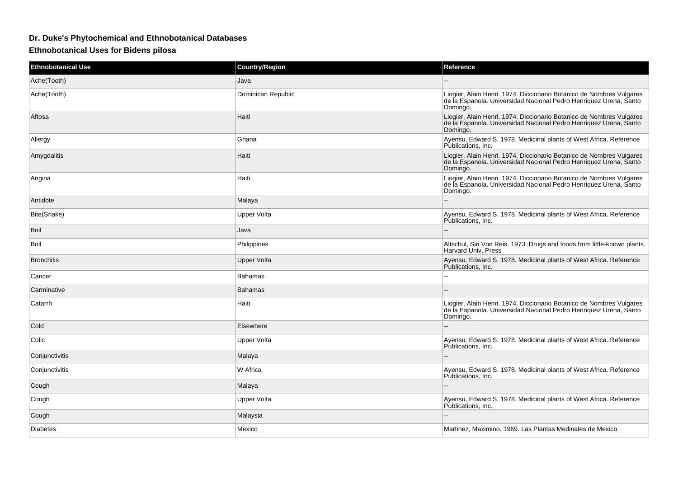## **Dr. Duke's Phytochemical and Ethnobotanical Databases**

**Ethnobotanical Uses for Bidens pilosa**

| <b>Ethnobotanical Use</b> | <b>Country/Region</b> | Reference                                                                                                                                             |
|---------------------------|-----------------------|-------------------------------------------------------------------------------------------------------------------------------------------------------|
| Ache(Tooth)               | Java                  |                                                                                                                                                       |
| Ache(Tooth)               | Dominican Republic    | Liogier, Alain Henri. 1974. Diccionario Botanico de Nombres Vulgares<br>de la Espanola. Universidad Nacional Pedro Henriquez Urena, Santo<br>Domingo. |
| Aftosa                    | Haiti                 | Liogier, Alain Henri. 1974. Diccionario Botanico de Nombres Vulgares<br>de la Espanola. Universidad Nacional Pedro Henriquez Urena, Santo<br>Domingo. |
| Allergy                   | Ghana                 | Ayensu, Edward S. 1978. Medicinal plants of West Africa. Reference<br>Publications, Inc.                                                              |
| Amygdalitis               | Haiti                 | Liogier, Alain Henri. 1974. Diccionario Botanico de Nombres Vulgares<br>de la Espanola. Universidad Nacional Pedro Henriquez Urena, Santo<br>Domingo. |
| Angina                    | Haiti                 | Liogier, Alain Henri. 1974. Diccionario Botanico de Nombres Vulgares<br>de la Espanola. Universidad Nacional Pedro Henriquez Urena, Santo<br>Domingo. |
| Antidote                  | Malaya                |                                                                                                                                                       |
| Bite(Snake)               | Upper Volta           | Ayensu, Edward S. 1978. Medicinal plants of West Africa. Reference<br>Publications, Inc.                                                              |
| <b>Boil</b>               | Java                  |                                                                                                                                                       |
| Boil                      | Philippines           | Altschul, Siri Von Reis. 1973. Drugs and foods from little-known plants.<br><b>Harvard Univ. Press</b>                                                |
| <b>Bronchitis</b>         | <b>Upper Volta</b>    | Ayensu, Edward S. 1978. Medicinal plants of West Africa. Reference<br>Publications, Inc.                                                              |
| Cancer                    | <b>Bahamas</b>        |                                                                                                                                                       |
| Carminative               | <b>Bahamas</b>        |                                                                                                                                                       |
| Catarrh                   | Haiti                 | Liogier, Alain Henri. 1974. Diccionario Botanico de Nombres Vulgares<br>de la Espanola. Universidad Nacional Pedro Henriquez Urena, Santo<br>Domingo. |
| Cold                      | Elsewhere             |                                                                                                                                                       |
| Colic                     | Upper Volta           | Ayensu, Edward S. 1978. Medicinal plants of West Africa. Reference<br>Publications, Inc.                                                              |
| Conjunctivitis            | Malaya                |                                                                                                                                                       |
| Conjunctivitis            | W Africa              | Ayensu, Edward S. 1978. Medicinal plants of West Africa. Reference<br>Publications, Inc.                                                              |
| Cough                     | Malaya                |                                                                                                                                                       |
| Cough                     | Upper Volta           | Ayensu, Edward S. 1978. Medicinal plants of West Africa. Reference<br>Publications, Inc.                                                              |
| Cough                     | Malaysia              |                                                                                                                                                       |
| <b>Diabetes</b>           | Mexico                | Martinez, Maximino. 1969. Las Plantas Medinales de Mexico.                                                                                            |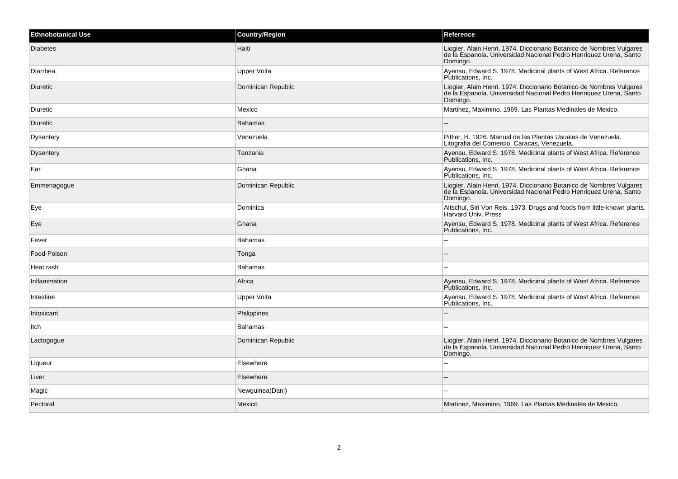| <b>Ethnobotanical Use</b> | <b>Country/Region</b> | Reference                                                                                                                                             |
|---------------------------|-----------------------|-------------------------------------------------------------------------------------------------------------------------------------------------------|
| <b>Diabetes</b>           | Haiti                 | Liogier, Alain Henri. 1974. Diccionario Botanico de Nombres Vulgares<br>de la Espanola. Universidad Nacional Pedro Henriquez Urena, Santo<br>Domingo. |
| Diarrhea                  | <b>Upper Volta</b>    | Ayensu, Edward S. 1978. Medicinal plants of West Africa. Reference<br>Publications, Inc.                                                              |
| Diuretic                  | Dominican Republic    | Liogier, Alain Henri. 1974. Diccionario Botanico de Nombres Vulgares<br>de la Espanola. Universidad Nacional Pedro Henriquez Urena, Santo<br>Domingo. |
| Diuretic                  | Mexico                | Martinez, Maximino. 1969. Las Plantas Medinales de Mexico.                                                                                            |
| Diuretic                  | <b>Bahamas</b>        |                                                                                                                                                       |
| Dysentery                 | Venezuela             | Pittier, H. 1926. Manual de las Plantas Usuales de Venezuela.<br>Litografia del Comercio, Caracas, Venezuela.                                         |
| Dysentery                 | Tanzania              | Ayensu, Edward S. 1978. Medicinal plants of West Africa. Reference<br>Publications, Inc.                                                              |
| Ear                       | Ghana                 | Ayensu, Edward S. 1978. Medicinal plants of West Africa. Reference<br>Publications, Inc.                                                              |
| Emmenagogue               | Dominican Republic    | Liogier, Alain Henri. 1974. Diccionario Botanico de Nombres Vulgares<br>de la Espanola. Universidad Nacional Pedro Henriquez Urena, Santo<br>Domingo. |
| Eye                       | Dominica              | Altschul, Siri Von Reis. 1973. Drugs and foods from little-known plants.<br>Harvard Univ. Press                                                       |
| Eye                       | Ghana                 | Ayensu, Edward S. 1978. Medicinal plants of West Africa. Reference<br>Publications, Inc.                                                              |
| Fever                     | <b>Bahamas</b>        |                                                                                                                                                       |
| Food-Poison               | Tonga                 |                                                                                                                                                       |
| Heat rash                 | <b>Bahamas</b>        |                                                                                                                                                       |
| Inflammation              | Africa                | Ayensu, Edward S. 1978. Medicinal plants of West Africa. Reference<br>Publications, Inc.                                                              |
| Intestine                 | Upper Volta           | Ayensu, Edward S. 1978. Medicinal plants of West Africa. Reference<br>Publications, Inc.                                                              |
| Intoxicant                | Philippines           | $\overline{a}$                                                                                                                                        |
| Itch                      | <b>Bahamas</b>        | $\sim$ $\sim$                                                                                                                                         |
| Lactogogue                | Dominican Republic    | Liogier, Alain Henri. 1974. Diccionario Botanico de Nombres Vulgares<br>de la Espanola. Universidad Nacional Pedro Henriquez Urena, Santo<br>Domingo. |
| Liqueur                   | Elsewhere             |                                                                                                                                                       |
| Liver                     | Elsewhere             | $\sim$                                                                                                                                                |
| Magic                     | Newguinea(Dani)       |                                                                                                                                                       |
| Pectoral                  | Mexico                | Martinez, Maximino. 1969. Las Plantas Medinales de Mexico.                                                                                            |